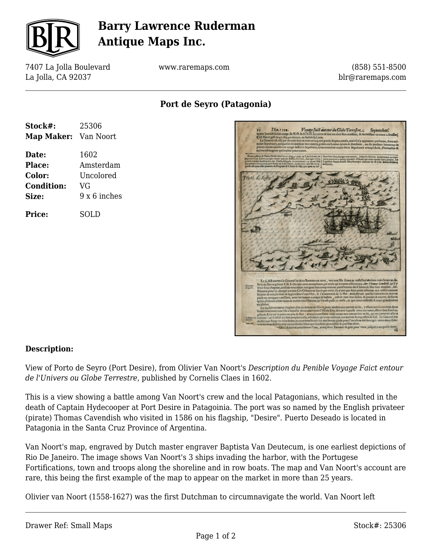

# **Barry Lawrence Ruderman Antique Maps Inc.**

7407 La Jolla Boulevard La Jolla, CA 92037

www.raremaps.com

(858) 551-8500 blr@raremaps.com

**Port de Seyro (Patagonia)**

| Stock#:              | 25306        |
|----------------------|--------------|
| Map Maker: Van Noort |              |
| Date:                | 1602         |
| Place:               | Amsterdam    |
| Color:               | Uncolored    |
| <b>Condition:</b>    | VG           |
| Size:                | 9 x 6 inches |
| <b>Price:</b>        | SOLD         |



### **Description:**

View of Porto de Seyro (Port Desire), from Olivier Van Noort's *Description du Penible Voyage Faict entour de l'Univers ou Globe Terrestre*, published by Cornelis Claes in 1602.

This is a view showing a battle among Van Noort's crew and the local Patagonians, which resulted in the death of Captain Hydecooper at Port Desire in Patagoinia. The port was so named by the English privateer (pirate) Thomas Cavendish who visited in 1586 on his flagship, "Desire". Puerto Deseado is located in Patagonia in the Santa Cruz Province of Argentina.

Van Noort's map, engraved by Dutch master engraver Baptista Van Deutecum, is one earliest depictions of Rio De Janeiro. The image shows Van Noort's 3 ships invading the harbor, with the Portugese Fortifications, town and troops along the shoreline and in row boats. The map and Van Noort's account are rare, this being the first example of the map to appear on the market in more than 25 years.

Olivier van Noort (1558-1627) was the first Dutchman to circumnavigate the world. Van Noort left